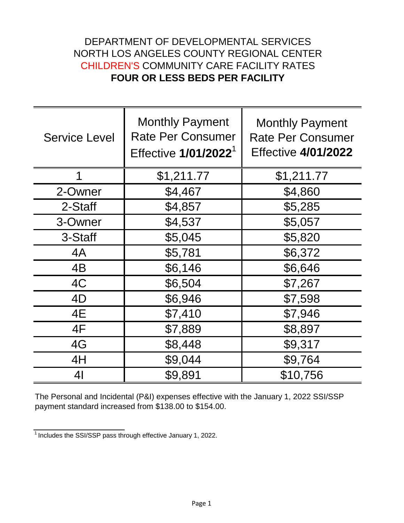## DEPARTMENT OF DEVELOPMENTAL SERVICES NORTH LOS ANGELES COUNTY REGIONAL CENTER CHILDREN'S COMMUNITY CARE FACILITY RATES **FOUR OR LESS BEDS PER FACILITY**

| <b>Service Level</b> | <b>Monthly Payment</b><br><b>Rate Per Consumer</b><br>Effective 1/01/2022 <sup>1</sup> | <b>Monthly Payment</b><br><b>Rate Per Consumer</b><br><b>Effective 4/01/2022</b> |
|----------------------|----------------------------------------------------------------------------------------|----------------------------------------------------------------------------------|
| 1                    | \$1,211.77                                                                             | \$1,211.77                                                                       |
| 2-Owner              | \$4,467                                                                                | \$4,860                                                                          |
| 2-Staff              | \$4,857                                                                                | \$5,285                                                                          |
| 3-Owner              | \$4,537                                                                                | \$5,057                                                                          |
| 3-Staff              | \$5,045                                                                                | \$5,820                                                                          |
| 4A                   | \$5,781                                                                                | \$6,372                                                                          |
| 4B                   | \$6,146                                                                                | \$6,646                                                                          |
| 4C                   | \$6,504                                                                                | \$7,267                                                                          |
| 4D                   | \$6,946                                                                                | \$7,598                                                                          |
| 4E                   | \$7,410                                                                                | \$7,946                                                                          |
| 4F                   | \$7,889                                                                                | \$8,897                                                                          |
| 4G                   | \$8,448                                                                                | \$9,317                                                                          |
| 4H                   | \$9,044                                                                                | \$9,764                                                                          |
| 4 <sub>l</sub>       | \$9,891                                                                                | \$10,756                                                                         |

The Personal and Incidental (P&I) expenses effective with the January 1, 2022 SSI/SSP payment standard increased from \$138.00 to \$154.00.

 $\frac{1}{1}$  Includes the SSI/SSP pass through effective January 1, 2022.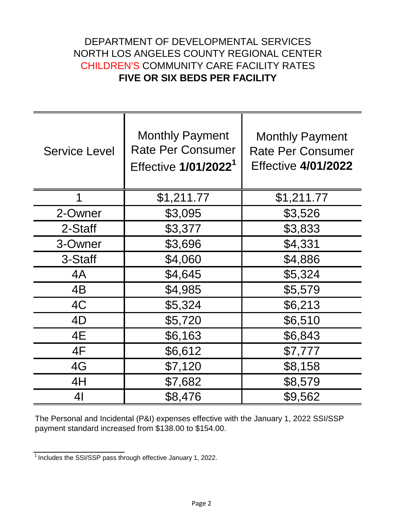## DEPARTMENT OF DEVELOPMENTAL SERVICES NORTH LOS ANGELES COUNTY REGIONAL CENTER CHILDREN'S COMMUNITY CARE FACILITY RATES **FIVE OR SIX BEDS PER FACILITY**

| <b>Service Level</b> | <b>Monthly Payment</b><br><b>Rate Per Consumer</b><br>Effective 1/01/2022 <sup>1</sup> | <b>Monthly Payment</b><br><b>Rate Per Consumer</b><br><b>Effective 4/01/2022</b> |
|----------------------|----------------------------------------------------------------------------------------|----------------------------------------------------------------------------------|
| 1                    | \$1,211.77                                                                             | \$1,211.77                                                                       |
| 2-Owner              | \$3,095                                                                                | \$3,526                                                                          |
| 2-Staff              | \$3,377                                                                                | \$3,833                                                                          |
| 3-Owner              | \$3,696                                                                                | \$4,331                                                                          |
| 3-Staff              | \$4,060                                                                                | \$4,886                                                                          |
| 4A                   | \$4,645                                                                                | \$5,324                                                                          |
| 4B                   | \$4,985                                                                                | \$5,579                                                                          |
| 4C                   | \$5,324                                                                                | \$6,213                                                                          |
| 4D                   | \$5,720                                                                                | \$6,510                                                                          |
| 4E                   | \$6,163                                                                                | \$6,843                                                                          |
| 4F                   | \$6,612                                                                                | \$7,777                                                                          |
| 4G                   | \$7,120                                                                                | \$8,158                                                                          |
| 4H                   | \$7,682                                                                                | \$8,579                                                                          |
| 41                   | \$8,476                                                                                | \$9,562                                                                          |

The Personal and Incidental (P&I) expenses effective with the January 1, 2022 SSI/SSP payment standard increased from \$138.00 to \$154.00.

 $\frac{1}{1}$  Includes the SSI/SSP pass through effective January 1, 2022.